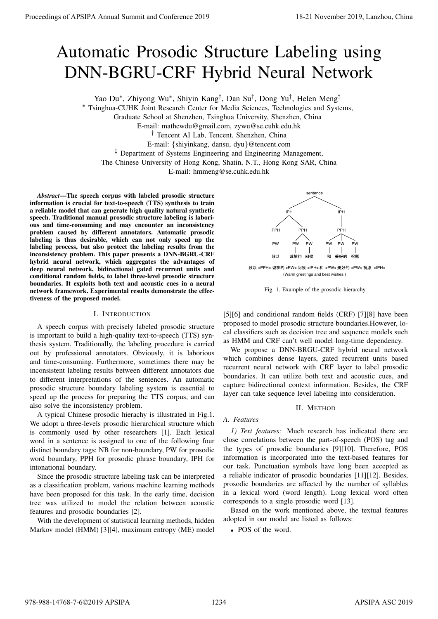# Automatic Prosodic Structure Labeling using DNN-BGRU-CRF Hybrid Neural Network

Yao Du<sup>∗</sup>, Zhiyong Wu<sup>∗</sup>, Shiyin Kang<sup>†</sup>, Dan Su<sup>†</sup>, Dong Yu<sup>†</sup>, Helen Meng<sup>‡</sup>

<sup>∗</sup> Tsinghua-CUHK Joint Research Center for Media Sciences, Technologies and Systems,

Graduate School at Shenzhen, Tsinghua University, Shenzhen, China

E-mail: mathewdu@gmail.com, zywu@se.cuhk.edu.hk

† Tencent AI Lab, Tencent, Shenzhen, China

E-mail: {shiyinkang, dansu, dyu}@tencent.com

<sup>‡</sup> Department of Systems Engineering and Engineering Management,

The Chinese University of Hong Kong, Shatin, N.T., Hong Kong SAR, China

E-mail: hmmeng@se.cuhk.edu.hk

*Abstract*—The speech corpus with labeled prosodic structure information is crucial for text-to-speech (TTS) synthesis to train a reliable model that can generate high quality natural synthetic speech. Traditional manual prosodic structure labeling is laborious and time-consuming and may encounter an inconsistency problem caused by different annotators. Automatic prosodic labeling is thus desirable, which can not only speed up the labeling process, but also protect the labeling results from the inconsistency problem. This paper presents a DNN-BGRU-CRF hybrid neural network, which aggregates the advantages of deep neural network, bidirectional gated recurrent units and conditional random fields, to label three-level prosodic structure boundaries. It exploits both text and acoustic cues in a neural network framework. Experimental results demonstrate the effectiveness of the proposed model. **Proceedings of APSIPA Annual Summit at China 978-988-14768 Conference 2019 Conference 2019 Conference 2019 Conference 2019 Conference 2019 Conference 2019 Conference 2019 Conference 2019 Conference 2019** 

## I. INTRODUCTION

A speech corpus with precisely labeled prosodic structure is important to build a high-quality text-to-speech (TTS) synthesis system. Traditionally, the labeling procedure is carried out by professional annotators. Obviously, it is laborious and time-consuming. Furthermore, sometimes there may be inconsistent labeling results between different annotators due to different interpretations of the sentences. An automatic prosodic structure boundary labeling system is essential to speed up the process for preparing the TTS corpus, and can also solve the inconsistency problem.

A typical Chinese prosodic hierachy is illustrated in Fig.1. We adopt a three-levels prosodic hierarchical structure which is commonly used by other researchers [1]. Each lexical word in a sentence is assigned to one of the following four distinct boundary tags: NB for non-boundary, PW for prosodic word boundary, PPH for prosodic phrase boundary, IPH for intonational boundary.

Since the prosodic structure labeling task can be interpreted as a classification problem, various machine learning methods have been proposed for this task. In the early time, decision tree was utilized to model the relation between acoustic features and prosodic boundaries [2].

With the development of statistical learning methods, hidden Markov model (HMM) [3][4], maximum entropy (ME) model



致以 <PPH> 诚挚的 <PW> 问候 <IPH> 和 <PW> 美好的 <PW> 祝愿 <IPH> (Warm greetings and best wishes.)

Fig. 1. Example of the prosodic hierarchy.

[5][6] and conditional random fields (CRF) [7][8] have been proposed to model prosodic structure boundaries.However, local classifiers such as decision tree and sequence models such as HMM and CRF can't well model long-time dependency.

We propose a DNN-BRGU-CRF hybrid neural network which combines dense layers, gated recurrent units based recurrent neural network with CRF layer to label prosodic boundaries. It can utilize both text and acoustic cues, and capture bidirectional context information. Besides, the CRF layer can take sequence level labeling into consideration.

# II. METHOD

# *A. Features*

*1) Text features:* Much research has indicated there are close correlations between the part-of-speech (POS) tag and the types of prosodic boundaries [9][10]. Therefore, POS information is incorporated into the text-based features for our task. Punctuation symbols have long been accepted as a reliable indicator of prosodic boundaries [11][12]. Besides, prosodic boundaries are affected by the number of syllables in a lexical word (word length). Long lexical word often corresponds to a single prosodic word [13].

Based on the work mentioned above, the textual features adopted in our model are listed as follows:

• POS of the word.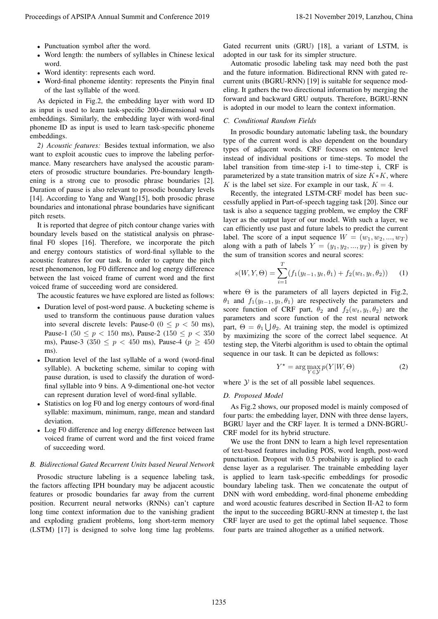- Punctuation symbol after the word.
- Word length: the numbers of syllables in Chinese lexical word.
- Word identity: represents each word.
- Word-final phoneme identity: represents the Pinyin final of the last syllable of the word.

As depicted in Fig.2, the embedding layer with word ID as input is used to learn task-specific 200-dimensional word embeddings. Similarly, the embedding layer with word-final phoneme ID as input is used to learn task-specific phoneme embeddings.

*2) Acoustic features:* Besides textual information, we also want to exploit acoustic cues to improve the labeling performance. Many researchers have analysed the acoustic parameters of prosodic structure boundaries. Pre-boundary lengthening is a strong cue to prosodic phrase boundaries [2]. Duration of pause is also relevant to prosodic boundary levels [14]. According to Yang and Wang[15], both prosodic phrase boundaries and intonational phrase boundaries have significant pitch resets.

It is reported that degree of pitch contour change varies with boundary levels based on the statistical analysis on phrasefinal F0 slopes [16]. Therefore, we incorporate the pitch and energy contours statistics of word-final syllable to the acoustic features for our task. In order to capture the pitch reset phenomenon, log F0 difference and log energy difference between the last voiced frame of current word and the first voiced frame of succeeding word are considered.

The acoustic features we have explored are listed as follows:

- Duration level of post-word pause. A bucketing scheme is used to transform the continuous pause duration values into several discrete levels: Pause-0 ( $0 \le p < 50$  ms), Pause-1 (50  $\leq p < 150$  ms), Pause-2 (150  $\leq p < 350$ ms), Pause-3 (350  $\leq p < 450$  ms), Pause-4 ( $p \geq 450$ ms).
- Duration level of the last syllable of a word (word-final syllable). A bucketing scheme, similar to coping with pause duration, is used to classify the duration of wordfinal syllable into 9 bins. A 9-dimentional one-hot vector can represent duration level of word-final syllable.
- Statistics on log F0 and log energy contours of word-final syllable: maximum, minimum, range, mean and standard deviation.
- Log F0 difference and log energy difference between last voiced frame of current word and the first voiced frame of succeeding word.

#### *B. Bidirectional Gated Recurrent Units based Neural Network*

Prosodic structure labeling is a sequence labeling task, the factors affecting IPH boundary may be adjacent acoustic features or prosodic boundaries far away from the current position. Recurrent neural networks (RNNs) can't capture long time context information due to the vanishing gradient and exploding gradient problems, long short-term memory (LSTM) [17] is designed to solve long time lag problems.

Gated recurrent units (GRU) [18], a variant of LSTM, is adopted in our task for its simpler structure.

Automatic prosodic labeling task may need both the past and the future information. Bidirectional RNN with gated recurrent units (BGRU-RNN) [19] is suitable for sequence modeling. It gathers the two directional information by merging the forward and backward GRU outputs. Therefore, BGRU-RNN is adopted in our model to learn the context information.

#### *C. Conditional Random Fields*

In prosodic boundary automatic labeling task, the boundary type of the current word is also dependent on the boundary types of adjacent words. CRF focuses on sentence level instead of individual positions or time-steps. To model the label transition from time-step i-1 to time-step i, CRF is parameterized by a state transition matrix of size  $K*K$ , where K is the label set size. For example in our task,  $K = 4$ .

Recently, the integrated LSTM-CRF model has been successfully applied in Part-of-speech tagging task [20]. Since our task is also a sequence tagging problem, we employ the CRF layer as the output layer of our model. With such a layer, we can efficiently use past and future labels to predict the current label. The score of a input sequence  $W = (w_1, w_2, ..., w_T)$ along with a path of labels  $Y = (y_1, y_2, ..., y_T)$  is given by the sum of transition scores and neural scores:

$$
s(W, Y, \Theta) = \sum_{i=1}^{T} (f_1(y_{t-1}, y_t, \theta_1) + f_2(w_t, y_t, \theta_2)) \tag{1}
$$

where  $\Theta$  is the parameters of all layers depicted in Fig.2,  $\theta_1$  and  $f_1(y_{t-1}, y_t, \theta_1)$  are respectively the parameters and score function of CRF part,  $\theta_2$  and  $f_2(w_t, y_t, \theta_2)$  are the parameters and score function of the rest neural network part,  $\Theta = \theta_1 \bigcup \theta_2$ . At training step, the model is optimized by maximizing the score of the correct label sequence. At testing step, the Viterbi algorithm is used to obtain the optimal sequence in our task. It can be depicted as follows:

$$
Y^* = \arg\max_{Y \in \mathcal{Y}} p(Y|W, \Theta)
$$
 (2)

where  $Y$  is the set of all possible label sequences.

#### *D. Proposed Model*

As Fig.2 shows, our proposed model is mainly composed of four parts: the embedding layer, DNN with three dense layers, BGRU layer and the CRF layer. It is termed a DNN-BGRU-CRF model for its hybrid structure.

We use the front DNN to learn a high level representation of text-based features including POS, word length, post-word punctuation. Dropout with 0.5 probability is applied to each dense layer as a regulariser. The trainable embedding layer is applied to learn task-specific embeddings for prosodic boundary labeling task. Then we concatenate the output of DNN with word embedding, word-final phoneme embedding and word acoustic features described in Section II-A2 to form the input to the succeeding BGRU-RNN at timestep t, the last CRF layer are used to get the optimal label sequence. Those four parts are trained altogether as a unified network. Proceedings of APSIPA Annual Summit and Conference 2019<br>
• Proceedings of APSIPA Annual Summit and Conference 2019<br>
• Wed length for anisotropy of APSIPA Annual Summit and Conference 2019<br>
• Wed length for anisotropy conf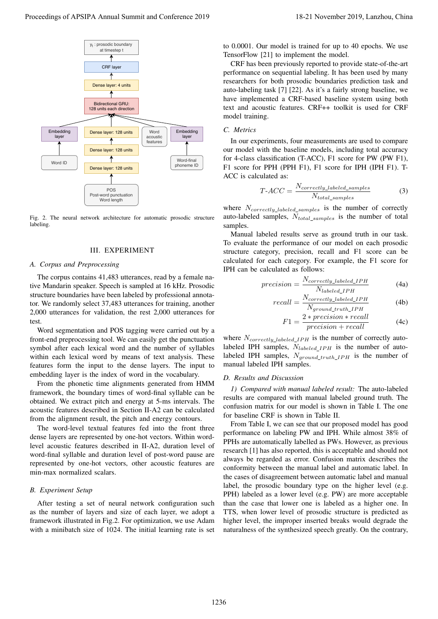

Fig. 2. The neural network architecture for automatic prosodic structure labeling.

## III. EXPERIMENT

## *A. Corpus and Preprocessing*

The corpus contains 41,483 utterances, read by a female native Mandarin speaker. Speech is sampled at 16 kHz. Prosodic structure boundaries have been labeled by professional annotator. We randomly select 37,483 utterances for training, another 2,000 utterances for validation, the rest 2,000 utterances for test.

Word segmentation and POS tagging were carried out by a front-end preprocessing tool. We can easily get the punctuation symbol after each lexical word and the number of syllables within each lexical word by means of text analysis. These features form the input to the dense layers. The input to embedding layer is the index of word in the vocabulary.

From the phonetic time alignments generated from HMM framework, the boundary times of word-final syllable can be obtained. We extract pitch and energy at 5-ms intervals. The acoustic features described in Section II-A2 can be calculated from the alignment result, the pitch and energy contours.

The word-level textual features fed into the front three dense layers are represented by one-hot vectors. Within wordlevel acoustic features described in II-A2, duration level of word-final syllable and duration level of post-word pause are represented by one-hot vectors, other acoustic features are min-max normalized scalars.

## *B. Experiment Setup*

After testing a set of neural network configuration such as the number of layers and size of each layer, we adopt a framework illustrated in Fig.2. For optimization, we use Adam with a minibatch size of 1024. The initial learning rate is set to 0.0001. Our model is trained for up to 40 epochs. We use TensorFlow [21] to implement the model.

CRF has been previously reported to provide state-of-the-art performance on sequential labeling. It has been used by many researchers for both prosodic boundaries prediction task and auto-labeling task [7] [22]. As it's a fairly strong baseline, we have implemented a CRF-based baseline system using both text and acoustic features. CRF++ toolkit is used for CRF model training.

## *C. Metrics*

In our experiments, four measurements are used to compare our model with the baseline models, including total accuracy for 4-class classification (T-ACC), F1 score for PW (PW F1), F1 score for PPH (PPH F1), F1 score for IPH (IPH F1). T-ACC is calculated as:

$$
T\text{-}ACC = \frac{N_{correctly\_labeled\_samples}}{N_{total\_samples}}\tag{3}
$$

where  $N_{correctly labeled samples}$  is the number of correctly auto-labeled samples,  $N_{total\ samples}$  is the number of total samples.

Manual labeled results serve as ground truth in our task. To evaluate the performance of our model on each prosodic structure category, precision, recall and F1 score can be calculated for each category. For example, the F1 score for IPH can be calculated as follows:

$$
precision = \frac{N_{correctly\_labeled\_IPH}}{N_{labeled\_IPH}}
$$
(4a)

$$
recall = \frac{N_{correctly\_labeled\_IPH}}{N_{ground\_truth\_IPH}} \tag{4b}
$$

$$
F1 = \frac{2 * precision * recall}{precision + recall}
$$
 (4c)

where  $N_{correctly\_labeled\_IPH}$  is the number of correctly autolabeled IPH samples,  $N_{labeled\_IPH}$  is the number of autolabeled IPH samples,  $N_{ground\_truth\_IPH}$  is the number of manual labeled IPH samples.

## *D. Results and Discussion*

*1) Compared with manual labeled result:* The auto-labeled results are compared with manual labeled ground truth. The confusion matrix for our model is shown in Table I. The one for baseline CRF is shown in Table II.

From Table I, we can see that our proposed model has good performance on labeling PW and IPH. While almost 38% of PPHs are automatically labelled as PWs. However, as previous research [1] has also reported, this is acceptable and should not always be regarded as error. Confusion matrix describes the conformity between the manual label and automatic label. In the cases of disagreement between automatic label and manual label, the prosodic boundary type on the higher level (e.g. PPH) labeled as a lower level (e.g. PW) are more acceptable than the case that lower one is labeled as a higher one. In TTS, when lower level of prosodic structure is predicted as higher level, the improper inserted breaks would degrade the naturalness of the synthesized speech greatly. On the contrary,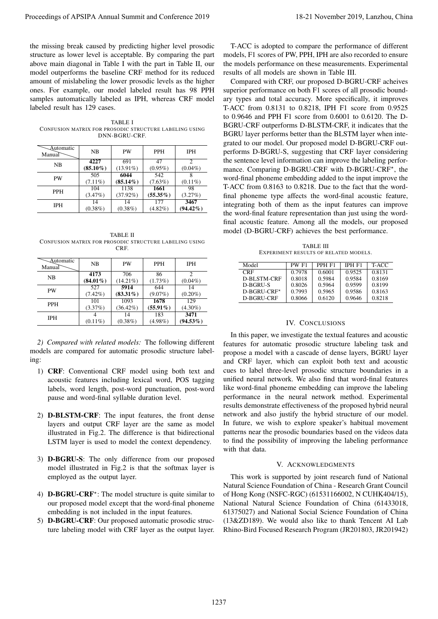the missing break caused by predicting higher level prosodic structure as lower level is acceptable. By comparing the part above main diagonal in Table I with the part in Table II, our model outperforms the baseline CRF method for its reduced amount of mislabeling the lower prosodic levels as the higher ones. For example, our model labeled result has 98 PPH samples automatically labeled as IPH, whereas CRF model labeled result has 129 cases.

TABLE I CONFUSION MATRIX FOR PROSODIC STRUCTURE LABELING USING DNN-BGRU-CRF.

| <b>Automatic</b><br>Manual | NΒ                  | PW                 | <b>PPH</b>       | <b>IPH</b>  |
|----------------------------|---------------------|--------------------|------------------|-------------|
| <b>NB</b>                  | 4227<br>$(85.10\%)$ | 691<br>$(13.91\%)$ | 47<br>$(0.95\%)$ | $(0.04\%)$  |
| PW                         | 505                 | 6044               | 542              |             |
|                            | $(7.11\%)$          | $(85.14\%)$        | $(7.63\%)$       | $(0.11\%)$  |
| <b>PPH</b>                 | 104                 | 1138               | 1661             | 98          |
|                            | (3.47%)             | $(37.92\%)$        | $(55.35\%)$      | (3.27%)     |
| <b>IPH</b>                 | 14                  | 14                 | 177              | 3467        |
|                            | $(0.38\%)$          | $(0.38\%)$         | $(4.82\%)$       | $(94.42\%)$ |

TABLE II CONFUSION MATRIX FOR PROSODIC STRUCTURE LABELING USING **CRF** 

| <b>Automatic</b><br>Manual | <b>NB</b>   | PW               | <b>PPH</b>        | <b>IPH</b>          |
|----------------------------|-------------|------------------|-------------------|---------------------|
| NB                         | 4173        | 706              | 86                | っ                   |
|                            | $(84.01\%)$ | $(14.21\%)$      | (1.73%)           | $(0.04\%)$          |
| <b>PW</b>                  | 527         | 5914             | 644               | 14                  |
|                            | $(7.42\%)$  | $(83.31\%)$      | $(9.07\%)$        | $(0.20\%)$          |
| <b>PPH</b>                 | 101         | 1093             | 1678              | 129                 |
|                            | (3.37%)     | $(36.42\%)$      | $(55.91\%)$       | $(4.30\%)$          |
| <b>IPH</b>                 | $(0.11\%)$  | 14<br>$(0.38\%)$ | 183<br>$(4.98\%)$ | 3471<br>$(94.53\%)$ |

*2) Compared with related models:* The following different models are compared for automatic prosodic structure labeling:

- 1) CRF: Conventional CRF model using both text and acoustic features including lexical word, POS tagging labels, word length, post-word punctuation, post-word pause and word-final syllable duration level.
- 2) D-BLSTM-CRF: The input features, the front dense layers and output CRF layer are the same as model illustrated in Fig.2. The difference is that bidirectional LSTM layer is used to model the context dependency.
- 3) D-BGRU-S: The only difference from our proposed model illustrated in Fig.2 is that the softmax layer is employed as the output layer.
- 4) **D-BGRU-CRF**<sup>\*</sup>: The model structure is quite similar to our proposed model except that the word-final phoneme embedding is not included in the input features.
- 5) D-BGRU-CRF: Our proposed automatic prosodic structure labeling model with CRF layer as the output layer.

T-ACC is adopted to compare the performance of different models, F1 scores of PW, PPH, IPH are also recorded to ensure the models performance on these measurements. Experimental results of all models are shown in Table III.

Compared with CRF, our proposed D-BGRU-CRF acheives superior performance on both F1 scores of all prosodic boundary types and total accuracy. More specifically, it improves T-ACC from 0.8131 to 0.8218, IPH F1 score from 0.9525 to 0.9646 and PPH F1 score from 0.6001 to 0.6120. The D-BGRU-CRF outperforms D-BLSTM-CRF, it indicates that the BGRU layer performs better than the BLSTM layer when integrated to our model. Our proposed model D-BGRU-CRF outperforms D-BGRU-S, suggesting that CRF layer considering the sentence level information can improve the labeling performance. Comparing D-BGRU-CRF with D-BGRU-CRF\*, the word-final phoneme embedding added to the input improve the T-ACC from 0.8163 to 0.8218. Due to the fact that the wordfinal phoneme type affects the word-final acoustic feature, integrating both of them as the input features can improve the word-final feature representation than just using the wordfinal acoustic feature. Among all the models, our proposed model (D-BGRU-CRF) achieves the best performance. Proceedings of APSIPA Annual Summit and Conference 2019<br>
Re-information and Conference 2019, The proceedings of APSIPA and Conference 2019, The Distribution of The Distribution of The Distribution of The Distribution of T

TABLE III EXPERIMENT RESULTS OF RELATED MODELS.

| Model       | PW F1  | PPH F1 | IPH F1 | T-ACC  |
|-------------|--------|--------|--------|--------|
| <b>CRF</b>  | 0.7978 | 0.6001 | 0.9525 | 0.8131 |
| D-BLSTM-CRF | 0.8018 | 0.5984 | 0.9584 | 0.8169 |
| D-BGRU-S    | 0.8026 | 0.5964 | 0.9599 | 0.8199 |
| D-BGRU-CRF* | 0.7993 | 0.5965 | 0.9586 | 0.8163 |
| D-BGRU-CRF  | 0.8066 | 0.6120 | 0.9646 | 0.8218 |

# IV. CONCLUSIONS

In this paper, we investigate the textual features and acoustic features for automatic prosodic structure labeling task and propose a model with a cascade of dense layers, BGRU layer and CRF layer, which can exploit both text and acoustic cues to label three-level prosodic structure boundaries in a unified neural network. We also find that word-final features like word-final phoneme embedding can improve the labeling performance in the neural network method. Experimental results demonstrate effectiveness of the proposed hybrid neural network and also justify the hybrid structure of our model. In future, we wish to explore speaker's habitual movement patterns near the prosodic boundaries based on the videos data to find the possibility of improving the labeling performance with that data.

#### V. ACKNOWLEDGMENTS

This work is supported by joint research fund of National Natural Science Foundation of China - Research Grant Council of Hong Kong (NSFC-RGC) (61531166002, N CUHK404/15), National Natural Science Foundation of China (61433018, 61375027) and National Social Science Foundation of China (13&ZD189). We would also like to thank Tencent AI Lab Rhino-Bird Focused Research Program (JR201803, JR201942)